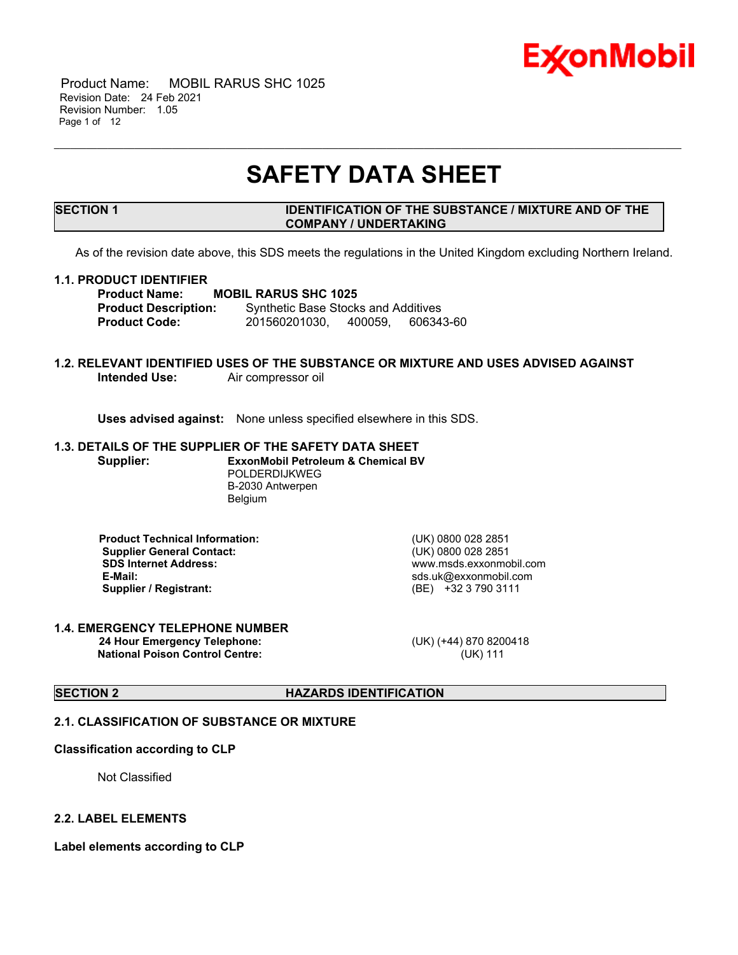

 Product Name: MOBIL RARUS SHC 1025 Revision Date: 24 Feb 2021 Revision Number: 1.05 Page 1 of 12

## **SAFETY DATA SHEET**

\_\_\_\_\_\_\_\_\_\_\_\_\_\_\_\_\_\_\_\_\_\_\_\_\_\_\_\_\_\_\_\_\_\_\_\_\_\_\_\_\_\_\_\_\_\_\_\_\_\_\_\_\_\_\_\_\_\_\_\_\_\_\_\_\_\_\_\_\_\_\_\_\_\_\_\_\_\_\_\_\_\_\_\_\_\_\_\_\_\_\_\_\_\_\_\_\_\_\_\_\_\_\_\_\_\_\_\_\_\_\_\_\_\_\_\_\_

#### **SECTION 1 IDENTIFICATION OF THE SUBSTANCE / MIXTURE AND OF THE COMPANY / UNDERTAKING**

As of the revision date above, this SDS meets the regulations in the United Kingdom excluding Northern Ireland.

#### **1.1. PRODUCT IDENTIFIER**

**Product Name: MOBIL RARUS SHC 1025<br>Product Description:** Synthetic Base Stock **Synthetic Base Stocks and Additives Product Code:** 201560201030, 400059, 606343-60

#### **1.2. RELEVANT IDENTIFIED USES OF THE SUBSTANCE OR MIXTURE AND USES ADVISED AGAINST** Air compressor oil

**Uses advised against:** None unless specified elsewhere in this SDS.

#### **1.3. DETAILS OF THE SUPPLIER OF THE SAFETY DATA SHEET Supplier: ExxonMobil Petroleum & Chemical BV** POLDERDIJKWEG

B-2030 Antwerpen Belgium

 **Product Technical Information:** (UK) 0800 028 2851 **Supplier General Contact:** (UK) 0800 028 2851<br> **SDS Internet Address:** (UK) 0800 028 2851  **SDS Internet Address:** www.msds.exxonmobil.com  **Supplier / Registrant:** (BE) +32 3 790 3111

 **E-Mail:** sds.uk@exxonmobil.com

#### **1.4. EMERGENCY TELEPHONE NUMBER 24 Hour Emergency Telephone:** (UK) (+44) 870 8200418 **National Poison Control Centre:** (UK) 111

### **SECTION 2 HAZARDS IDENTIFICATION**

#### **2.1. CLASSIFICATION OF SUBSTANCE OR MIXTURE**

#### **Classification according to CLP**

Not Classified

#### **2.2. LABEL ELEMENTS**

**Label elements according to CLP**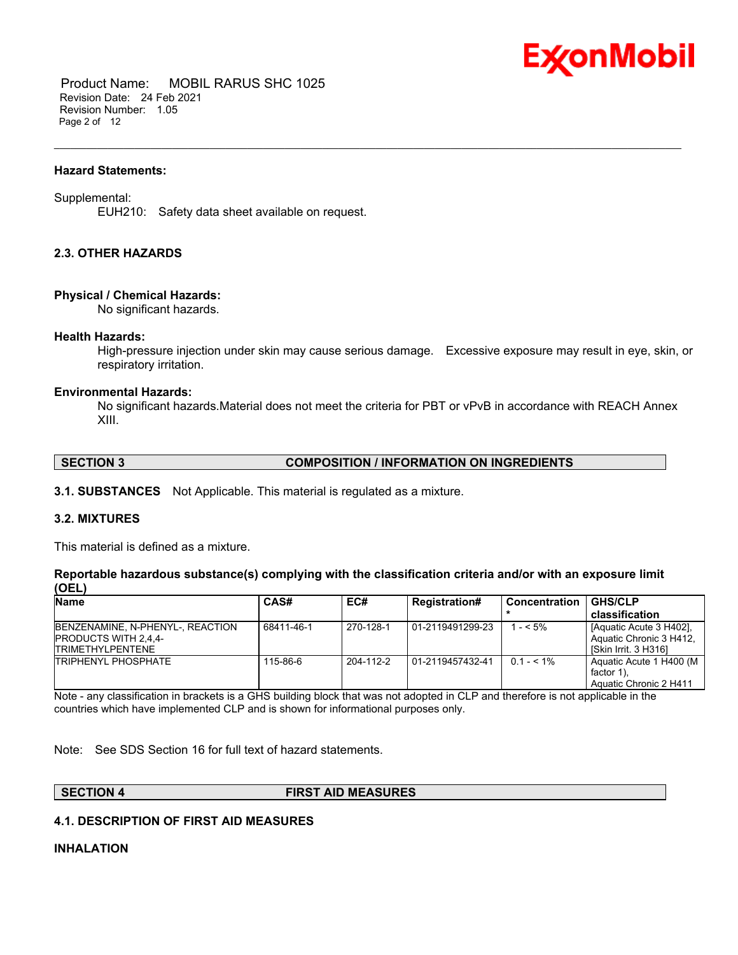

 Product Name: MOBIL RARUS SHC 1025 Revision Date: 24 Feb 2021 Revision Number: 1.05 Page 2 of 12

#### **Hazard Statements:**

#### Supplemental:

EUH210: Safety data sheet available on request.

#### **2.3. OTHER HAZARDS**

#### **Physical / Chemical Hazards:**

No significant hazards.

#### **Health Hazards:**

High-pressure injection under skin may cause serious damage. Excessive exposure may result in eye, skin, or respiratory irritation.

\_\_\_\_\_\_\_\_\_\_\_\_\_\_\_\_\_\_\_\_\_\_\_\_\_\_\_\_\_\_\_\_\_\_\_\_\_\_\_\_\_\_\_\_\_\_\_\_\_\_\_\_\_\_\_\_\_\_\_\_\_\_\_\_\_\_\_\_\_\_\_\_\_\_\_\_\_\_\_\_\_\_\_\_\_\_\_\_\_\_\_\_\_\_\_\_\_\_\_\_\_\_\_\_\_\_\_\_\_\_\_\_\_\_\_\_\_

#### **Environmental Hazards:**

No significant hazards.Material does not meet the criteria for PBT or vPvB in accordance with REACH Annex XIII.

#### **SECTION 3 COMPOSITION / INFORMATION ON INGREDIENTS**

**3.1. SUBSTANCES** Not Applicable. This material is regulated as a mixture.

#### **3.2. MIXTURES**

This material is defined as a mixture.

#### **Reportable hazardous substance(s) complying with the classification criteria and/or with an exposure limit (OEL)**

| <b>Name</b>                                                                                 | CAS#       | EC#       | <b>Registration#</b> | <b>Concentration</b> | <b>GHS/CLP</b>                                                             |
|---------------------------------------------------------------------------------------------|------------|-----------|----------------------|----------------------|----------------------------------------------------------------------------|
|                                                                                             |            |           |                      |                      | classification                                                             |
| BENZENAMINE, N-PHENYL-, REACTION<br><b>PRODUCTS WITH 2.4.4-</b><br><b>ITRIMETHYLPENTENE</b> | 68411-46-1 | 270-128-1 | 01-2119491299-23     | 1 - < 5%             | [Aquatic Acute 3 H402].<br>Aquatic Chronic 3 H412.<br>ISkin Irrit. 3 H3161 |
| <b>TRIPHENYL PHOSPHATE</b>                                                                  | 115-86-6   | 204-112-2 | 01-2119457432-41     | $0.1 - 5.1\%$        | Aquatic Acute 1 H400 (M<br>factor 1).<br>Aquatic Chronic 2 H411            |

Note - any classification in brackets is a GHS building block that was not adopted in CLP and therefore is not applicable in the countries which have implemented CLP and is shown for informational purposes only.

Note: See SDS Section 16 for full text of hazard statements.

**SECTION 4 FIRST AID MEASURES**

#### **4.1. DESCRIPTION OF FIRST AID MEASURES**

#### **INHALATION**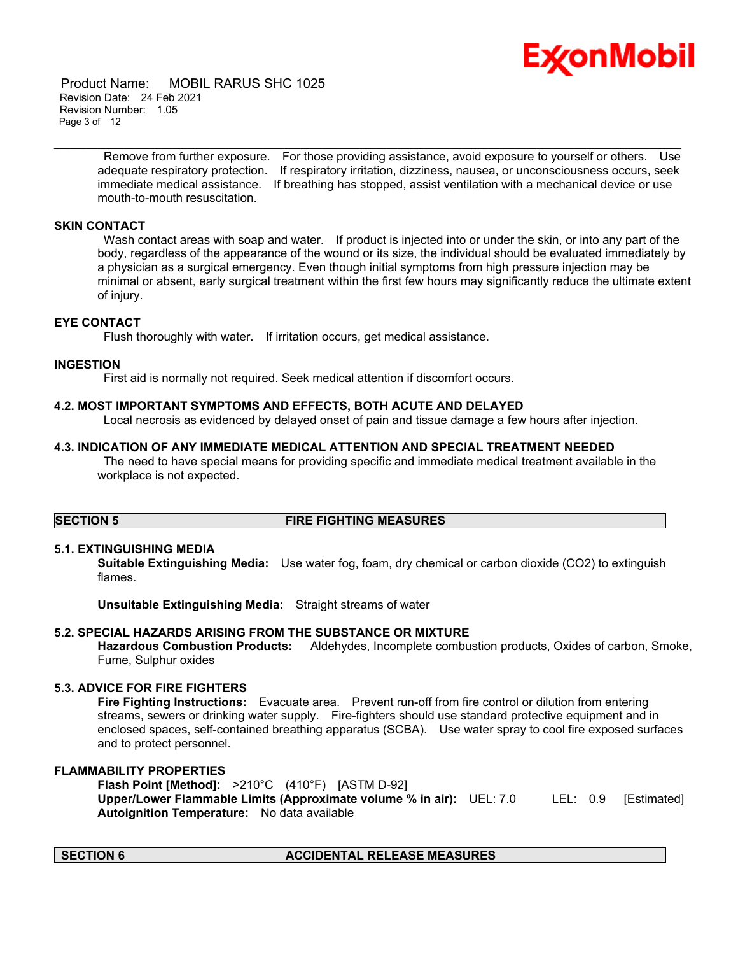

 Product Name: MOBIL RARUS SHC 1025 Revision Date: 24 Feb 2021 Revision Number: 1.05 Page 3 of 12

> Remove from further exposure. For those providing assistance, avoid exposure to yourself or others. Use adequate respiratory protection. If respiratory irritation, dizziness, nausea, or unconsciousness occurs, seek immediate medical assistance. If breathing has stopped, assist ventilation with a mechanical device or use mouth-to-mouth resuscitation.

\_\_\_\_\_\_\_\_\_\_\_\_\_\_\_\_\_\_\_\_\_\_\_\_\_\_\_\_\_\_\_\_\_\_\_\_\_\_\_\_\_\_\_\_\_\_\_\_\_\_\_\_\_\_\_\_\_\_\_\_\_\_\_\_\_\_\_\_\_\_\_\_\_\_\_\_\_\_\_\_\_\_\_\_\_\_\_\_\_\_\_\_\_\_\_\_\_\_\_\_\_\_\_\_\_\_\_\_\_\_\_\_\_\_\_\_\_

#### **SKIN CONTACT**

Wash contact areas with soap and water. If product is injected into or under the skin, or into any part of the body, regardless of the appearance of the wound or its size, the individual should be evaluated immediately by a physician as a surgical emergency. Even though initial symptoms from high pressure injection may be minimal or absent, early surgical treatment within the first few hours may significantly reduce the ultimate extent of injury.

#### **EYE CONTACT**

Flush thoroughly with water. If irritation occurs, get medical assistance.

### **INGESTION**

First aid is normally not required. Seek medical attention if discomfort occurs.

#### **4.2. MOST IMPORTANT SYMPTOMS AND EFFECTS, BOTH ACUTE AND DELAYED**

Local necrosis as evidenced by delayed onset of pain and tissue damage a few hours after injection.

#### **4.3. INDICATION OF ANY IMMEDIATE MEDICAL ATTENTION AND SPECIAL TREATMENT NEEDED**

 The need to have special means for providing specific and immediate medical treatment available in the workplace is not expected.

### **SECTION 5 FIRE FIGHTING MEASURES**

#### **5.1. EXTINGUISHING MEDIA**

**Suitable Extinguishing Media:** Use water fog, foam, dry chemical or carbon dioxide (CO2) to extinguish flames.

**Unsuitable Extinguishing Media:** Straight streams of water

#### **5.2. SPECIAL HAZARDS ARISING FROM THE SUBSTANCE OR MIXTURE**

**Hazardous Combustion Products:** Aldehydes, Incomplete combustion products, Oxides of carbon, Smoke, Fume, Sulphur oxides

#### **5.3. ADVICE FOR FIRE FIGHTERS**

**Fire Fighting Instructions:** Evacuate area. Prevent run-off from fire control or dilution from entering streams, sewers or drinking water supply. Fire-fighters should use standard protective equipment and in enclosed spaces, self-contained breathing apparatus (SCBA). Use water spray to cool fire exposed surfaces and to protect personnel.

#### **FLAMMABILITY PROPERTIES**

**Flash Point [Method]:** >210°C (410°F) [ASTM D-92] **Upper/Lower Flammable Limits (Approximate volume % in air):** UEL: 7.0 LEL: 0.9 [Estimated] **Autoignition Temperature:** No data available

### **SECTION 6 ACCIDENTAL RELEASE MEASURES**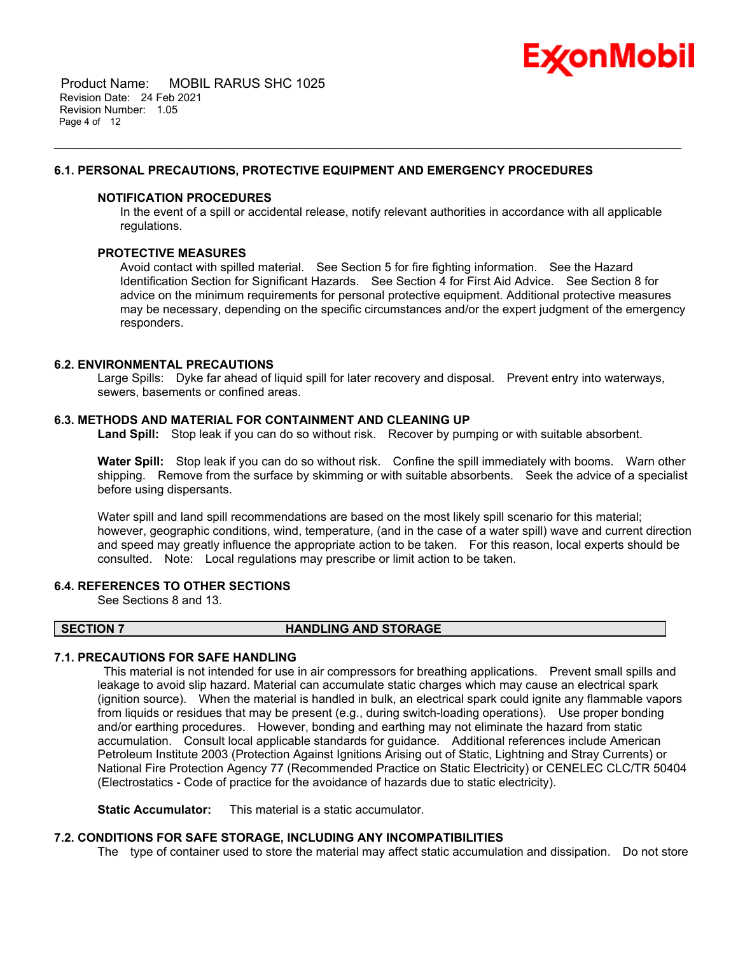

 Product Name: MOBIL RARUS SHC 1025 Revision Date: 24 Feb 2021 Revision Number: 1.05 Page 4 of 12

#### **6.1. PERSONAL PRECAUTIONS, PROTECTIVE EQUIPMENT AND EMERGENCY PROCEDURES**

#### **NOTIFICATION PROCEDURES**

In the event of a spill or accidental release, notify relevant authorities in accordance with all applicable regulations.

\_\_\_\_\_\_\_\_\_\_\_\_\_\_\_\_\_\_\_\_\_\_\_\_\_\_\_\_\_\_\_\_\_\_\_\_\_\_\_\_\_\_\_\_\_\_\_\_\_\_\_\_\_\_\_\_\_\_\_\_\_\_\_\_\_\_\_\_\_\_\_\_\_\_\_\_\_\_\_\_\_\_\_\_\_\_\_\_\_\_\_\_\_\_\_\_\_\_\_\_\_\_\_\_\_\_\_\_\_\_\_\_\_\_\_\_\_

#### **PROTECTIVE MEASURES**

Avoid contact with spilled material. See Section 5 for fire fighting information. See the Hazard Identification Section for Significant Hazards. See Section 4 for First Aid Advice. See Section 8 for advice on the minimum requirements for personal protective equipment. Additional protective measures may be necessary, depending on the specific circumstances and/or the expert judgment of the emergency responders.

#### **6.2. ENVIRONMENTAL PRECAUTIONS**

Large Spills: Dyke far ahead of liquid spill for later recovery and disposal. Prevent entry into waterways, sewers, basements or confined areas.

#### **6.3. METHODS AND MATERIAL FOR CONTAINMENT AND CLEANING UP**

**Land Spill:** Stop leak if you can do so without risk. Recover by pumping or with suitable absorbent.

**Water Spill:** Stop leak if you can do so without risk. Confine the spill immediately with booms. Warn other shipping. Remove from the surface by skimming or with suitable absorbents. Seek the advice of a specialist before using dispersants.

Water spill and land spill recommendations are based on the most likely spill scenario for this material; however, geographic conditions, wind, temperature, (and in the case of a water spill) wave and current direction and speed may greatly influence the appropriate action to be taken. For this reason, local experts should be consulted. Note: Local regulations may prescribe or limit action to be taken.

#### **6.4. REFERENCES TO OTHER SECTIONS**

See Sections 8 and 13.

#### **SECTION 7 HANDLING AND STORAGE**

#### **7.1. PRECAUTIONS FOR SAFE HANDLING**

 This material is not intended for use in air compressors for breathing applications. Prevent small spills and leakage to avoid slip hazard. Material can accumulate static charges which may cause an electrical spark (ignition source). When the material is handled in bulk, an electrical spark could ignite any flammable vapors from liquids or residues that may be present (e.g., during switch-loading operations). Use proper bonding and/or earthing procedures. However, bonding and earthing may not eliminate the hazard from static accumulation. Consult local applicable standards for guidance. Additional references include American Petroleum Institute 2003 (Protection Against Ignitions Arising out of Static, Lightning and Stray Currents) or National Fire Protection Agency 77 (Recommended Practice on Static Electricity) or CENELEC CLC/TR 50404 (Electrostatics - Code of practice for the avoidance of hazards due to static electricity).

**Static Accumulator:** This material is a static accumulator.

#### **7.2. CONDITIONS FOR SAFE STORAGE, INCLUDING ANY INCOMPATIBILITIES**

The type of container used to store the material may affect static accumulation and dissipation. Do not store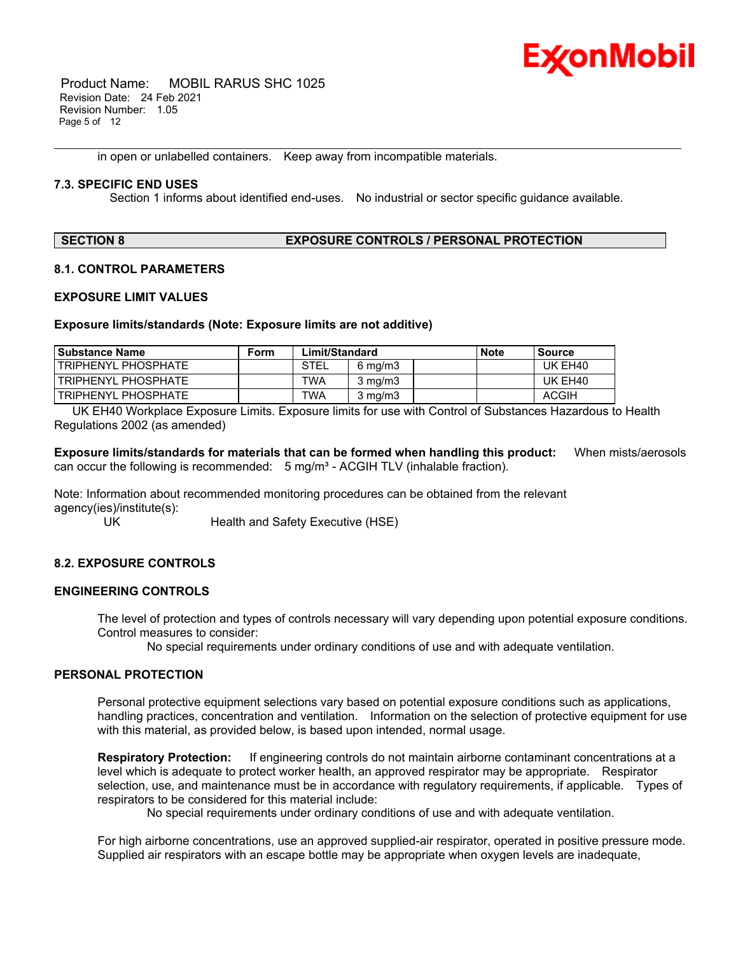

 Product Name: MOBIL RARUS SHC 1025 Revision Date: 24 Feb 2021 Revision Number: 1.05 Page 5 of 12

in open or unlabelled containers. Keep away from incompatible materials.

#### **7.3. SPECIFIC END USES**

Section 1 informs about identified end-uses. No industrial or sector specific guidance available.

\_\_\_\_\_\_\_\_\_\_\_\_\_\_\_\_\_\_\_\_\_\_\_\_\_\_\_\_\_\_\_\_\_\_\_\_\_\_\_\_\_\_\_\_\_\_\_\_\_\_\_\_\_\_\_\_\_\_\_\_\_\_\_\_\_\_\_\_\_\_\_\_\_\_\_\_\_\_\_\_\_\_\_\_\_\_\_\_\_\_\_\_\_\_\_\_\_\_\_\_\_\_\_\_\_\_\_\_\_\_\_\_\_\_\_\_\_

### **SECTION 8 EXPOSURE CONTROLS / PERSONAL PROTECTION**

#### **8.1. CONTROL PARAMETERS**

#### **EXPOSURE LIMIT VALUES**

#### **Exposure limits/standards (Note: Exposure limits are not additive)**

| <b>Substance Name</b>      | Form | Limit/Standard |                    | <b>Note</b> | Source       |
|----------------------------|------|----------------|--------------------|-------------|--------------|
| TRIPHENYL PHOSPHATE        |      | <b>STEL</b>    | $6 \text{ ma/m}$ 3 |             | UK EH40      |
| TRIPHENYL PHOSPHATE        |      | TWA            | $3 \text{ mg/m}$   |             | UK EH40      |
| <b>TRIPHENYL PHOSPHATE</b> |      | TWA            | $3 \text{ mg/m}$   |             | <b>ACGIH</b> |

 UK EH40 Workplace Exposure Limits. Exposure limits for use with Control of Substances Hazardous to Health Regulations 2002 (as amended)

**Exposure limits/standards for materials that can be formed when handling this product:** When mists/aerosols can occur the following is recommended:  $5 \text{ mg/m}^3$  - ACGIH TLV (inhalable fraction).

Note: Information about recommended monitoring procedures can be obtained from the relevant agency(ies)/institute(s):

UK Health and Safety Executive (HSE)

#### **8.2. EXPOSURE CONTROLS**

#### **ENGINEERING CONTROLS**

The level of protection and types of controls necessary will vary depending upon potential exposure conditions. Control measures to consider:

No special requirements under ordinary conditions of use and with adequate ventilation.

#### **PERSONAL PROTECTION**

Personal protective equipment selections vary based on potential exposure conditions such as applications, handling practices, concentration and ventilation. Information on the selection of protective equipment for use with this material, as provided below, is based upon intended, normal usage.

**Respiratory Protection:** If engineering controls do not maintain airborne contaminant concentrations at a level which is adequate to protect worker health, an approved respirator may be appropriate. Respirator selection, use, and maintenance must be in accordance with regulatory requirements, if applicable. Types of respirators to be considered for this material include:

No special requirements under ordinary conditions of use and with adequate ventilation.

For high airborne concentrations, use an approved supplied-air respirator, operated in positive pressure mode. Supplied air respirators with an escape bottle may be appropriate when oxygen levels are inadequate,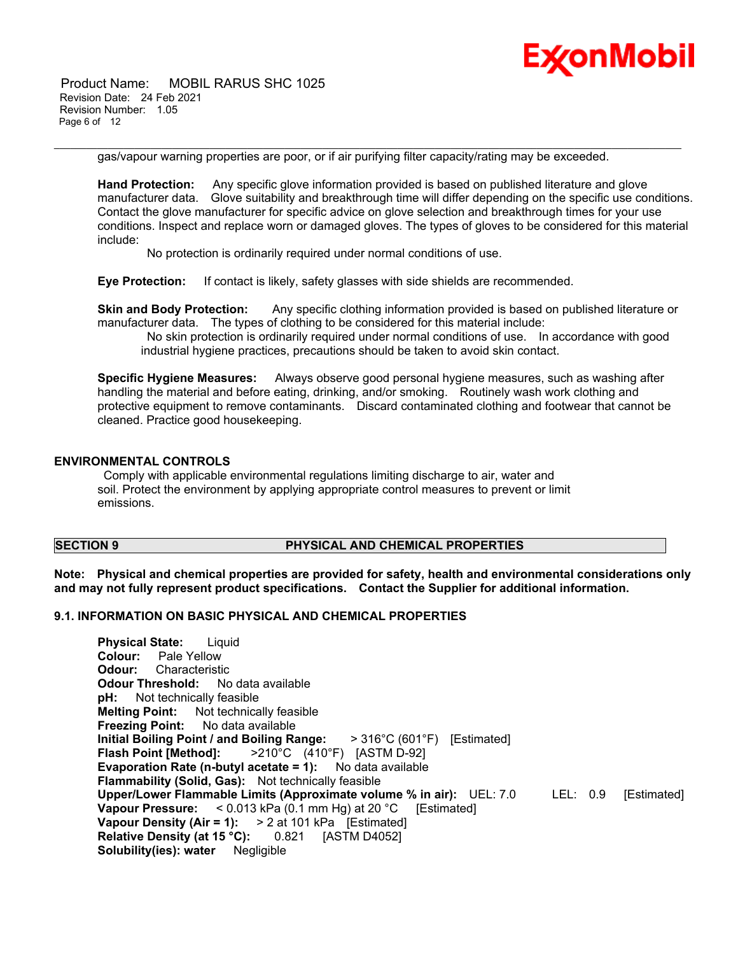

 Product Name: MOBIL RARUS SHC 1025 Revision Date: 24 Feb 2021 Revision Number: 1.05 Page 6 of 12

gas/vapour warning properties are poor, or if air purifying filter capacity/rating may be exceeded.

\_\_\_\_\_\_\_\_\_\_\_\_\_\_\_\_\_\_\_\_\_\_\_\_\_\_\_\_\_\_\_\_\_\_\_\_\_\_\_\_\_\_\_\_\_\_\_\_\_\_\_\_\_\_\_\_\_\_\_\_\_\_\_\_\_\_\_\_\_\_\_\_\_\_\_\_\_\_\_\_\_\_\_\_\_\_\_\_\_\_\_\_\_\_\_\_\_\_\_\_\_\_\_\_\_\_\_\_\_\_\_\_\_\_\_\_\_

**Hand Protection:** Any specific glove information provided is based on published literature and glove manufacturer data. Glove suitability and breakthrough time will differ depending on the specific use conditions. Contact the glove manufacturer for specific advice on glove selection and breakthrough times for your use conditions. Inspect and replace worn or damaged gloves. The types of gloves to be considered for this material include:

No protection is ordinarily required under normal conditions of use.

**Eye Protection:** If contact is likely, safety glasses with side shields are recommended.

**Skin and Body Protection:** Any specific clothing information provided is based on published literature or manufacturer data. The types of clothing to be considered for this material include:

 No skin protection is ordinarily required under normal conditions of use. In accordance with good industrial hygiene practices, precautions should be taken to avoid skin contact.

**Specific Hygiene Measures:** Always observe good personal hygiene measures, such as washing after handling the material and before eating, drinking, and/or smoking. Routinely wash work clothing and protective equipment to remove contaminants. Discard contaminated clothing and footwear that cannot be cleaned. Practice good housekeeping.

#### **ENVIRONMENTAL CONTROLS**

 Comply with applicable environmental regulations limiting discharge to air, water and soil. Protect the environment by applying appropriate control measures to prevent or limit emissions.

#### **SECTION 9 PHYSICAL AND CHEMICAL PROPERTIES**

**Note: Physical and chemical properties are provided for safety, health and environmental considerations only and may not fully represent product specifications. Contact the Supplier for additional information.**

#### **9.1. INFORMATION ON BASIC PHYSICAL AND CHEMICAL PROPERTIES**

**Physical State:** Liquid **Colour:** Pale Yellow **Odour:** Characteristic **Odour Threshold:** No data available **pH:** Not technically feasible **Melting Point:** Not technically feasible **Freezing Point:** No data available **Initial Boiling Point / and Boiling Range:** > 316°C (601°F) [Estimated] **Flash Point [Method]:** >210°C (410°F) [ASTM D-92] **Evaporation Rate (n-butyl acetate = 1):** No data available **Flammability (Solid, Gas):** Not technically feasible **Upper/Lower Flammable Limits (Approximate volume % in air):** UEL: 7.0 LEL: 0.9 [Estimated] **Vapour Pressure:** < 0.013 kPa (0.1 mm Hg) at 20 °C [Estimated] **Vapour Density (Air = 1):** > 2 at 101 kPa [Estimated] **Relative Density (at 15 °C):** 0.821 [ASTM D4052] **Solubility(ies): water** Negligible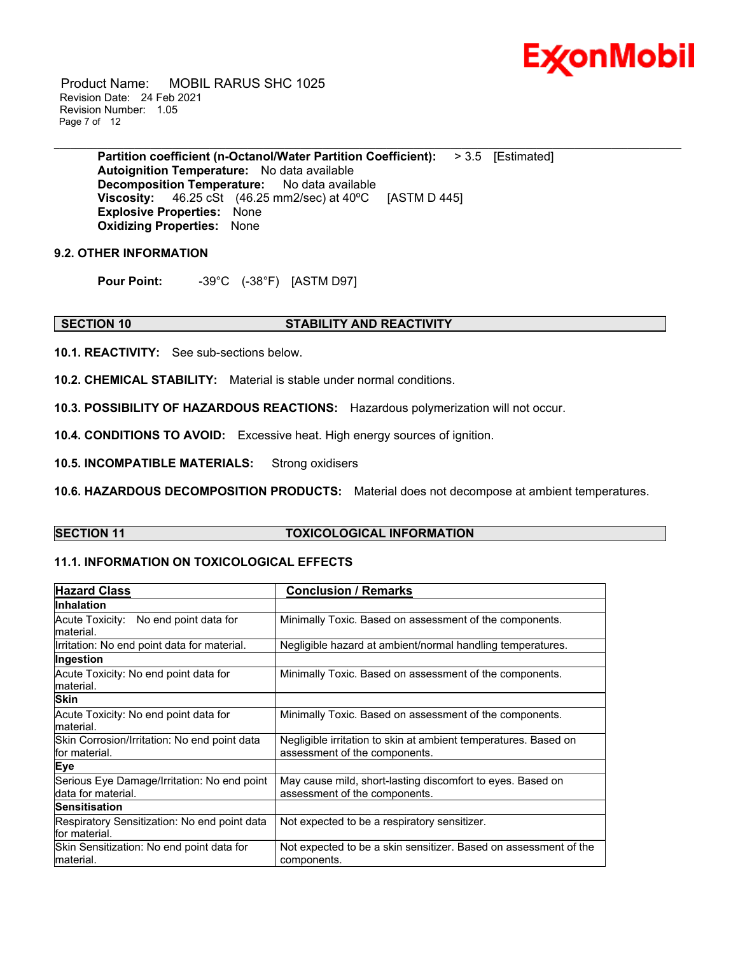

 Product Name: MOBIL RARUS SHC 1025 Revision Date: 24 Feb 2021 Revision Number: 1.05 Page 7 of 12

\_\_\_\_\_\_\_\_\_\_\_\_\_\_\_\_\_\_\_\_\_\_\_\_\_\_\_\_\_\_\_\_\_\_\_\_\_\_\_\_\_\_\_\_\_\_\_\_\_\_\_\_\_\_\_\_\_\_\_\_\_\_\_\_\_\_\_\_\_\_\_\_\_\_\_\_\_\_\_\_\_\_\_\_\_\_\_\_\_\_\_\_\_\_\_\_\_\_\_\_\_\_\_\_\_\_\_\_\_\_\_\_\_\_\_\_\_ **Partition coefficient (n-Octanol/Water Partition Coefficient):** > 3.5 [Estimated] **Autoignition Temperature:** No data available **Decomposition Temperature:** No data available **Viscosity:** 46.25 cSt (46.25 mm2/sec) at 40ºC [ASTM D 445] **Explosive Properties:** None **Oxidizing Properties:** None

#### **9.2. OTHER INFORMATION**

**Pour Point:** -39°C (-38°F) [ASTM D97]

#### **SECTION 10 STABILITY AND REACTIVITY**

**10.1. REACTIVITY:** See sub-sections below.

**10.2. CHEMICAL STABILITY:** Material is stable under normal conditions.

**10.3. POSSIBILITY OF HAZARDOUS REACTIONS:** Hazardous polymerization will not occur.

**10.4. CONDITIONS TO AVOID:** Excessive heat. High energy sources of ignition.

**10.5. INCOMPATIBLE MATERIALS:** Strong oxidisers

**10.6. HAZARDOUS DECOMPOSITION PRODUCTS:** Material does not decompose at ambient temperatures.

#### **SECTION 11 TOXICOLOGICAL INFORMATION**

#### **11.1. INFORMATION ON TOXICOLOGICAL EFFECTS**

| <b>Hazard Class</b>                                               | <b>Conclusion / Remarks</b>                                                                      |
|-------------------------------------------------------------------|--------------------------------------------------------------------------------------------------|
| Inhalation                                                        |                                                                                                  |
| Acute Toxicity: No end point data for<br>material.                | Minimally Toxic. Based on assessment of the components.                                          |
| Irritation: No end point data for material.                       | Negligible hazard at ambient/normal handling temperatures.                                       |
| Ingestion                                                         |                                                                                                  |
| Acute Toxicity: No end point data for<br>material.                | Minimally Toxic. Based on assessment of the components.                                          |
| <b>Skin</b>                                                       |                                                                                                  |
| Acute Toxicity: No end point data for<br>material.                | Minimally Toxic. Based on assessment of the components.                                          |
| Skin Corrosion/Irritation: No end point data<br>for material.     | Negligible irritation to skin at ambient temperatures. Based on<br>assessment of the components. |
| Eye                                                               |                                                                                                  |
| Serious Eye Damage/Irritation: No end point<br>data for material. | May cause mild, short-lasting discomfort to eyes. Based on<br>assessment of the components.      |
| <b>Sensitisation</b>                                              |                                                                                                  |
| Respiratory Sensitization: No end point data<br>lfor material.    | Not expected to be a respiratory sensitizer.                                                     |
| Skin Sensitization: No end point data for<br>material.            | Not expected to be a skin sensitizer. Based on assessment of the<br>components.                  |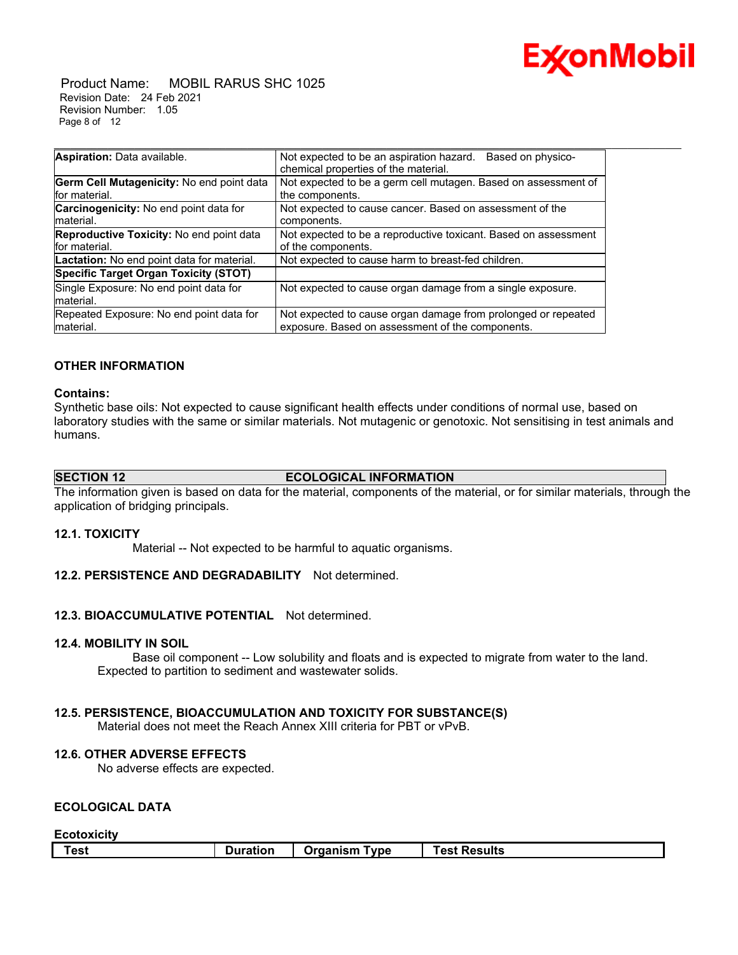

 Product Name: MOBIL RARUS SHC 1025 Revision Date: 24 Feb 2021 Revision Number: 1.05 Page 8 of 12

| Aspiration: Data available.                       | Not expected to be an aspiration hazard.<br>Based on physico-   |
|---------------------------------------------------|-----------------------------------------------------------------|
|                                                   | chemical properties of the material.                            |
| Germ Cell Mutagenicity: No end point data         | Not expected to be a germ cell mutagen. Based on assessment of  |
| for material.                                     | the components.                                                 |
| Carcinogenicity: No end point data for            | Not expected to cause cancer. Based on assessment of the        |
| material.                                         | components.                                                     |
| Reproductive Toxicity: No end point data          | Not expected to be a reproductive toxicant. Based on assessment |
| for material.                                     | of the components.                                              |
| <b>Lactation:</b> No end point data for material. | Not expected to cause harm to breast-fed children.              |
| <b>Specific Target Organ Toxicity (STOT)</b>      |                                                                 |
| Single Exposure: No end point data for            | Not expected to cause organ damage from a single exposure.      |
| material.                                         |                                                                 |
| Repeated Exposure: No end point data for          | Not expected to cause organ damage from prolonged or repeated   |
| material.                                         | exposure. Based on assessment of the components.                |

#### **OTHER INFORMATION**

#### **Contains:**

Synthetic base oils: Not expected to cause significant health effects under conditions of normal use, based on laboratory studies with the same or similar materials. Not mutagenic or genotoxic. Not sensitising in test animals and humans.

\_\_\_\_\_\_\_\_\_\_\_\_\_\_\_\_\_\_\_\_\_\_\_\_\_\_\_\_\_\_\_\_\_\_\_\_\_\_\_\_\_\_\_\_\_\_\_\_\_\_\_\_\_\_\_\_\_\_\_\_\_\_\_\_\_\_\_\_\_\_\_\_\_\_\_\_\_\_\_\_\_\_\_\_\_\_\_\_\_\_\_\_\_\_\_\_\_\_\_\_\_\_\_\_\_\_\_\_\_\_\_\_\_\_\_\_\_

#### **SECTION 12 ECOLOGICAL INFORMATION**

The information given is based on data for the material, components of the material, or for similar materials, through the application of bridging principals.

#### **12.1. TOXICITY**

Material -- Not expected to be harmful to aquatic organisms.

#### **12.2. PERSISTENCE AND DEGRADABILITY** Not determined.

#### **12.3. BIOACCUMULATIVE POTENTIAL** Not determined.

#### **12.4. MOBILITY IN SOIL**

 Base oil component -- Low solubility and floats and is expected to migrate from water to the land. Expected to partition to sediment and wastewater solids.

#### **12.5. PERSISTENCE, BIOACCUMULATION AND TOXICITY FOR SUBSTANCE(S)**

Material does not meet the Reach Annex XIII criteria for PBT or vPvB.

#### **12.6. OTHER ADVERSE EFFECTS**

No adverse effects are expected.

#### **ECOLOGICAL DATA**

#### **Ecotoxicity**

| <b>Results</b><br>Test<br>Organism<br>Tvpe<br>uration<br>. net<br>anie<br>. |
|-----------------------------------------------------------------------------|
|-----------------------------------------------------------------------------|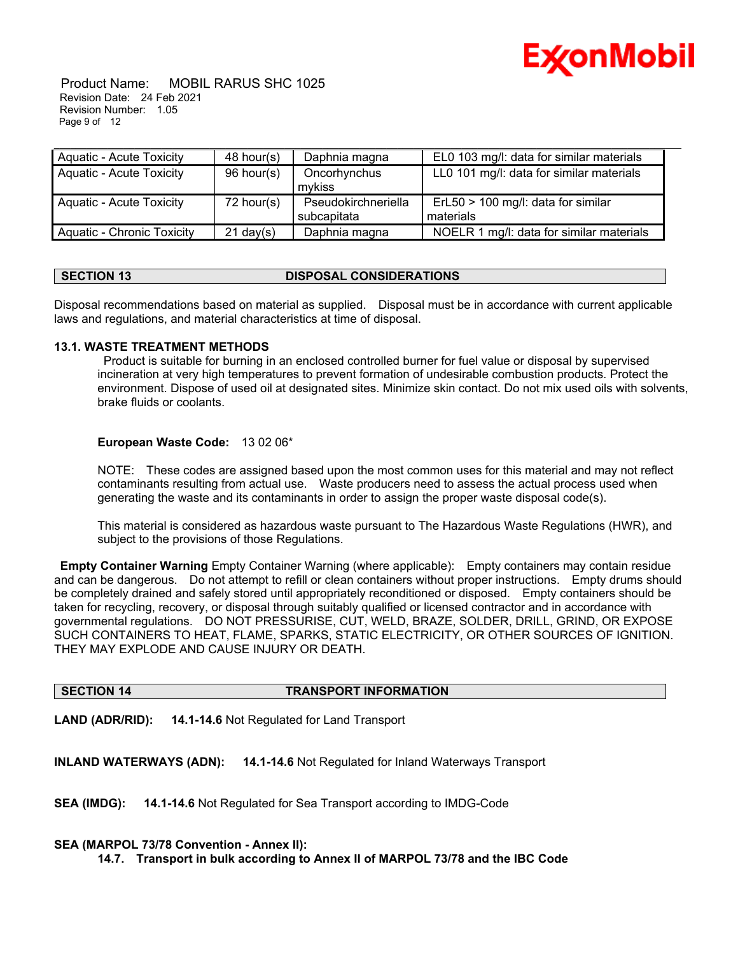

#### Product Name: MOBIL RARUS SHC 1025 Revision Date: 24 Feb 2021 Revision Number: 1.05 Page 9 of 12

| <b>Aquatic - Acute Toxicity</b>   | $48$ hour(s)        | Daphnia magna       | EL0 103 mg/l: data for similar materials |
|-----------------------------------|---------------------|---------------------|------------------------------------------|
| <b>Aquatic - Acute Toxicity</b>   | 96 hour(s)          | Oncorhynchus        | LL0 101 mg/l: data for similar materials |
|                                   |                     | mykiss              |                                          |
| <b>Aquatic - Acute Toxicity</b>   | $72$ hour(s)        | Pseudokirchneriella | ErL50 > 100 mg/l: data for similar       |
|                                   |                     | subcapitata         | materials                                |
| <b>Aquatic - Chronic Toxicity</b> | $21 \text{ day}(s)$ | Daphnia magna       | NOELR 1 mg/l: data for similar materials |

### **SECTION 13 DISPOSAL CONSIDERATIONS**

Disposal recommendations based on material as supplied. Disposal must be in accordance with current applicable laws and regulations, and material characteristics at time of disposal.

#### **13.1. WASTE TREATMENT METHODS**

 Product is suitable for burning in an enclosed controlled burner for fuel value or disposal by supervised incineration at very high temperatures to prevent formation of undesirable combustion products. Protect the environment. Dispose of used oil at designated sites. Minimize skin contact. Do not mix used oils with solvents, brake fluids or coolants.

#### **European Waste Code:** 13 02 06\*

NOTE: These codes are assigned based upon the most common uses for this material and may not reflect contaminants resulting from actual use. Waste producers need to assess the actual process used when generating the waste and its contaminants in order to assign the proper waste disposal code(s).

This material is considered as hazardous waste pursuant to The Hazardous Waste Regulations (HWR), and subject to the provisions of those Regulations.

**Empty Container Warning** Empty Container Warning (where applicable): Empty containers may contain residue and can be dangerous. Do not attempt to refill or clean containers without proper instructions. Empty drums should be completely drained and safely stored until appropriately reconditioned or disposed. Empty containers should be taken for recycling, recovery, or disposal through suitably qualified or licensed contractor and in accordance with governmental regulations. DO NOT PRESSURISE, CUT, WELD, BRAZE, SOLDER, DRILL, GRIND, OR EXPOSE SUCH CONTAINERS TO HEAT, FLAME, SPARKS, STATIC ELECTRICITY, OR OTHER SOURCES OF IGNITION. THEY MAY EXPLODE AND CAUSE INJURY OR DEATH.

#### **SECTION 14 TRANSPORT INFORMATION**

**LAND (ADR/RID): 14.1-14.6** Not Regulated for Land Transport

**INLAND WATERWAYS (ADN): 14.1-14.6** Not Regulated for Inland Waterways Transport

**SEA (IMDG): 14.1-14.6** Not Regulated for Sea Transport according to IMDG-Code

#### **SEA (MARPOL 73/78 Convention - Annex II):**

**14.7. Transport in bulk according to Annex II of MARPOL 73/78 and the IBC Code**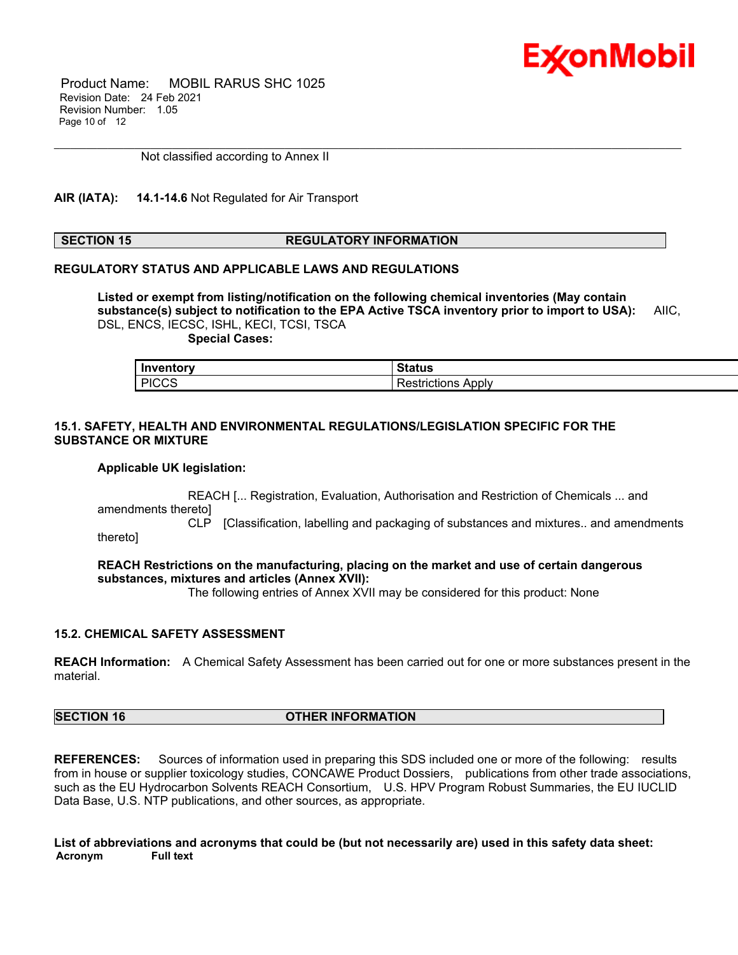

 Product Name: MOBIL RARUS SHC 1025 Revision Date: 24 Feb 2021 Revision Number: 1.05 Page 10 of 12

Not classified according to Annex II

#### **AIR (IATA): 14.1-14.6** Not Regulated for Air Transport

#### **SECTION 15 REGULATORY INFORMATION**

\_\_\_\_\_\_\_\_\_\_\_\_\_\_\_\_\_\_\_\_\_\_\_\_\_\_\_\_\_\_\_\_\_\_\_\_\_\_\_\_\_\_\_\_\_\_\_\_\_\_\_\_\_\_\_\_\_\_\_\_\_\_\_\_\_\_\_\_\_\_\_\_\_\_\_\_\_\_\_\_\_\_\_\_\_\_\_\_\_\_\_\_\_\_\_\_\_\_\_\_\_\_\_\_\_\_\_\_\_\_\_\_\_\_\_\_\_

#### **REGULATORY STATUS AND APPLICABLE LAWS AND REGULATIONS**

**Listed or exempt from listing/notification on the following chemical inventories (May contain substance(s) subject to notification to the EPA Active TSCA inventory prior to import to USA):** AIIC, DSL, ENCS, IECSC, ISHL, KECI, TCSI, TSCA

 **Special Cases:**

| <b>Inventory</b> | Status                    |
|------------------|---------------------------|
| <b>PICCS</b>     | <b>Restrictions Apply</b> |

#### **15.1. SAFETY, HEALTH AND ENVIRONMENTAL REGULATIONS/LEGISLATION SPECIFIC FOR THE SUBSTANCE OR MIXTURE**

#### **Applicable UK legislation:**

 REACH [... Registration, Evaluation, Authorisation and Restriction of Chemicals ... and amendments thereto]

CLP [Classification, labelling and packaging of substances and mixtures.. and amendments thereto]

**REACH Restrictions on the manufacturing, placing on the market and use of certain dangerous substances, mixtures and articles (Annex XVII):**

The following entries of Annex XVII may be considered for this product: None

#### **15.2. CHEMICAL SAFETY ASSESSMENT**

**REACH Information:** A Chemical Safety Assessment has been carried out for one or more substances present in the material.

### **SECTION 16 OTHER INFORMATION**

**REFERENCES:** Sources of information used in preparing this SDS included one or more of the following: results from in house or supplier toxicology studies, CONCAWE Product Dossiers, publications from other trade associations, such as the EU Hydrocarbon Solvents REACH Consortium, U.S. HPV Program Robust Summaries, the EU IUCLID Data Base, U.S. NTP publications, and other sources, as appropriate.

**List of abbreviations and acronyms that could be (but not necessarily are) used in this safety data sheet: Acronym Full text**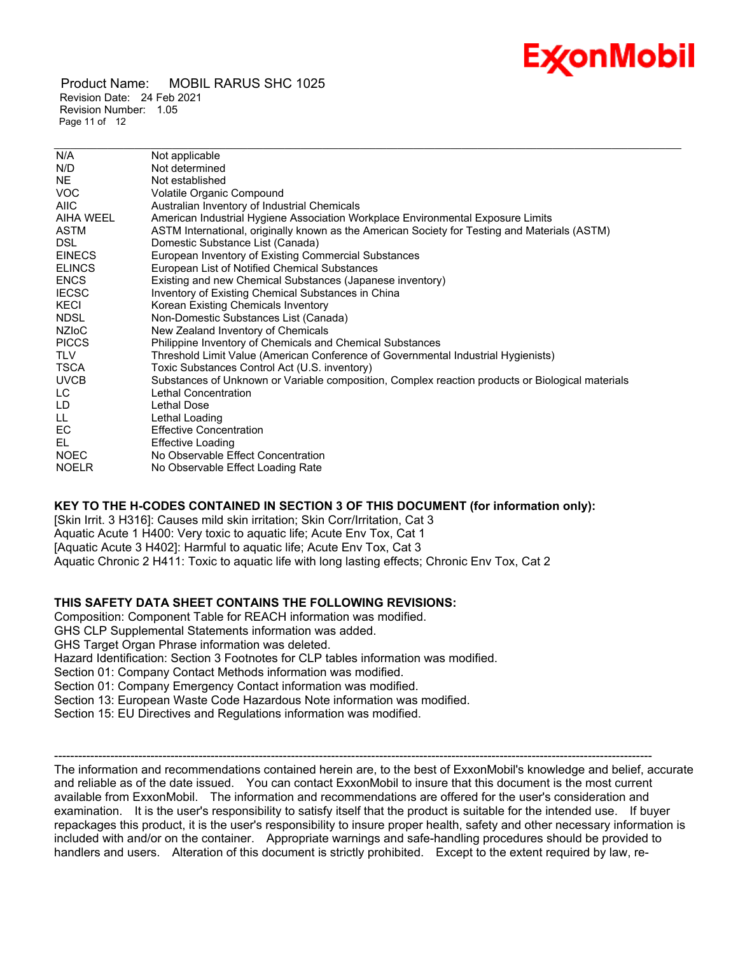# Ex⁄onMobil

 Product Name: MOBIL RARUS SHC 1025 Revision Date: 24 Feb 2021 Revision Number: 1.05 Page 11 of 12

| N/A           | Not applicable                                                                                   |
|---------------|--------------------------------------------------------------------------------------------------|
| N/D           | Not determined                                                                                   |
| NE            | Not established                                                                                  |
| <b>VOC</b>    | <b>Volatile Organic Compound</b>                                                                 |
| <b>AIIC</b>   | Australian Inventory of Industrial Chemicals                                                     |
| AIHA WEEL     | American Industrial Hygiene Association Workplace Environmental Exposure Limits                  |
| <b>ASTM</b>   | ASTM International, originally known as the American Society for Testing and Materials (ASTM)    |
| DSL.          | Domestic Substance List (Canada)                                                                 |
| <b>EINECS</b> | European Inventory of Existing Commercial Substances                                             |
| <b>ELINCS</b> | European List of Notified Chemical Substances                                                    |
| <b>ENCS</b>   | Existing and new Chemical Substances (Japanese inventory)                                        |
| <b>IECSC</b>  | Inventory of Existing Chemical Substances in China                                               |
| KECI          | Korean Existing Chemicals Inventory                                                              |
| <b>NDSL</b>   | Non-Domestic Substances List (Canada)                                                            |
| <b>NZIOC</b>  | New Zealand Inventory of Chemicals                                                               |
| <b>PICCS</b>  | Philippine Inventory of Chemicals and Chemical Substances                                        |
| <b>TLV</b>    | Threshold Limit Value (American Conference of Governmental Industrial Hygienists)                |
| <b>TSCA</b>   | Toxic Substances Control Act (U.S. inventory)                                                    |
| <b>UVCB</b>   | Substances of Unknown or Variable composition, Complex reaction products or Biological materials |
| LC.           | Lethal Concentration                                                                             |
| LD.           | Lethal Dose                                                                                      |
| LL.           | Lethal Loading                                                                                   |
| EC.           | <b>Effective Concentration</b>                                                                   |
| EL.           | <b>Effective Loading</b>                                                                         |
| <b>NOEC</b>   | No Observable Effect Concentration                                                               |
| <b>NOELR</b>  | No Observable Effect Loading Rate                                                                |
|               |                                                                                                  |

\_\_\_\_\_\_\_\_\_\_\_\_\_\_\_\_\_\_\_\_\_\_\_\_\_\_\_\_\_\_\_\_\_\_\_\_\_\_\_\_\_\_\_\_\_\_\_\_\_\_\_\_\_\_\_\_\_\_\_\_\_\_\_\_\_\_\_\_\_\_\_\_\_\_\_\_\_\_\_\_\_\_\_\_\_\_\_\_\_\_\_\_\_\_\_\_\_\_\_\_\_\_\_\_\_\_\_\_\_\_\_\_\_\_\_\_\_

#### **KEY TO THE H-CODES CONTAINED IN SECTION 3 OF THIS DOCUMENT (for information only):**

[Skin Irrit. 3 H316]: Causes mild skin irritation; Skin Corr/Irritation, Cat 3 Aquatic Acute 1 H400: Very toxic to aquatic life; Acute Env Tox, Cat 1 [Aquatic Acute 3 H402]: Harmful to aquatic life; Acute Env Tox, Cat 3 Aquatic Chronic 2 H411: Toxic to aquatic life with long lasting effects; Chronic Env Tox, Cat 2

### **THIS SAFETY DATA SHEET CONTAINS THE FOLLOWING REVISIONS:**

Composition: Component Table for REACH information was modified. GHS CLP Supplemental Statements information was added. GHS Target Organ Phrase information was deleted. Hazard Identification: Section 3 Footnotes for CLP tables information was modified. Section 01: Company Contact Methods information was modified. Section 01: Company Emergency Contact information was modified. Section 13: European Waste Code Hazardous Note information was modified. Section 15: EU Directives and Regulations information was modified.

----------------------------------------------------------------------------------------------------------------------------------------------------- The information and recommendations contained herein are, to the best of ExxonMobil's knowledge and belief, accurate and reliable as of the date issued. You can contact ExxonMobil to insure that this document is the most current available from ExxonMobil. The information and recommendations are offered for the user's consideration and examination. It is the user's responsibility to satisfy itself that the product is suitable for the intended use. If buyer repackages this product, it is the user's responsibility to insure proper health, safety and other necessary information is included with and/or on the container. Appropriate warnings and safe-handling procedures should be provided to handlers and users. Alteration of this document is strictly prohibited. Except to the extent required by law, re-